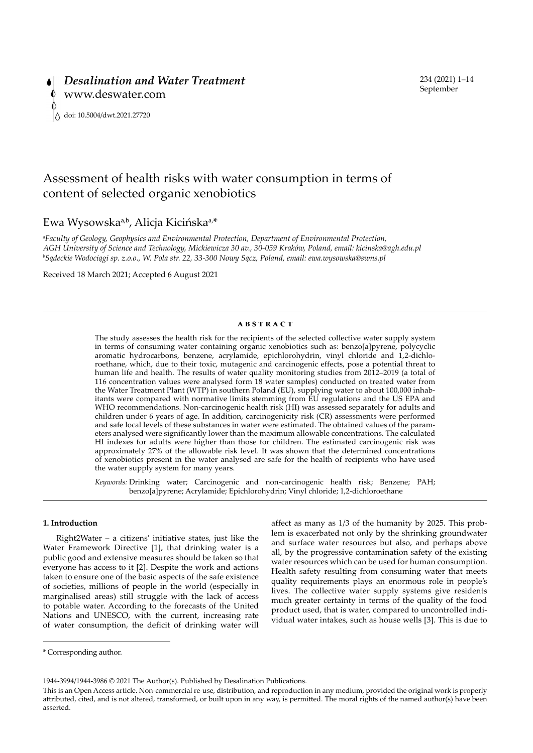# Assessment of health risks with water consumption in terms of content of selected organic xenobiotics

## Ewa Wysowska<sup>a,b</sup>, Alicja Kicińska<sup>a,\*</sup>

*a Faculty of Geology, Geophysics and Environmental Protection, Department of Environmental Protection, AGH University of Science and Technology, Mickiewicza 30 av., 30-059 Kraków, Poland, email: kicinska@agh.edu.pl b Sądeckie Wodociągi sp. z.o.o., W. Pola str. 22, 33-300 Nowy Sącz, Poland, email: ewa.wysowska@swns.pl*

Received 18 March 2021; Accepted 6 August 2021

#### **ABSTRACT**

The study assesses the health risk for the recipients of the selected collective water supply system in terms of consuming water containing organic xenobiotics such as: benzo[a]pyrene, polycyclic aromatic hydrocarbons, benzene, acrylamide, epichlorohydrin, vinyl chloride and 1,2-dichloroethane, which, due to their toxic, mutagenic and carcinogenic effects, pose a potential threat to human life and health. The results of water quality monitoring studies from 2012–2019 (a total of 116 concentration values were analysed form 18 water samples) conducted on treated water from the Water Treatment Plant (WTP) in southern Poland (EU), supplying water to about 100,000 inhabitants were compared with normative limits stemming from EU regulations and the US EPA and WHO recommendations. Non-carcinogenic health risk (HI) was assessed separately for adults and children under 6 years of age. In addition, carcinogenicity risk (CR) assessments were performed and safe local levels of these substances in water were estimated. The obtained values of the parameters analysed were significantly lower than the maximum allowable concentrations. The calculated HI indexes for adults were higher than those for children. The estimated carcinogenic risk was approximately 27% of the allowable risk level. It was shown that the determined concentrations of xenobiotics present in the water analysed are safe for the health of recipients who have used the water supply system for many years.

*Keywords:* Drinking water; Carcinogenic and non-carcinogenic health risk; Benzene; PAH; benzo[a]pyrene; Acrylamide; Epichlorohydrin; Vinyl chloride; 1,2-dichloroethane

#### **1. Introduction**

Right2Water – a citizens' initiative states, just like the Water Framework Directive [1], that drinking water is a public good and extensive measures should be taken so that everyone has access to it [2]. Despite the work and actions taken to ensure one of the basic aspects of the safe existence of societies, millions of people in the world (especially in marginalised areas) still struggle with the lack of access to potable water. According to the forecasts of the United Nations and UNESCO, with the current, increasing rate of water consumption, the deficit of drinking water will affect as many as 1/3 of the humanity by 2025. This problem is exacerbated not only by the shrinking groundwater and surface water resources but also, and perhaps above all, by the progressive contamination safety of the existing water resources which can be used for human consumption. Health safety resulting from consuming water that meets quality requirements plays an enormous role in people's lives. The collective water supply systems give residents much greater certainty in terms of the quality of the food product used, that is water, compared to uncontrolled individual water intakes, such as house wells [3]. This is due to

1944-3994/1944-3986 © 2021 The Author(s). Published by Desalination Publications.

<sup>\*</sup> Corresponding author.

This is an Open Access article. Non-commercial re-use, distribution, and reproduction in any medium, provided the original work is properly attributed, cited, and is not altered, transformed, or built upon in any way, is permitted. The moral rights of the named author(s) have been asserted.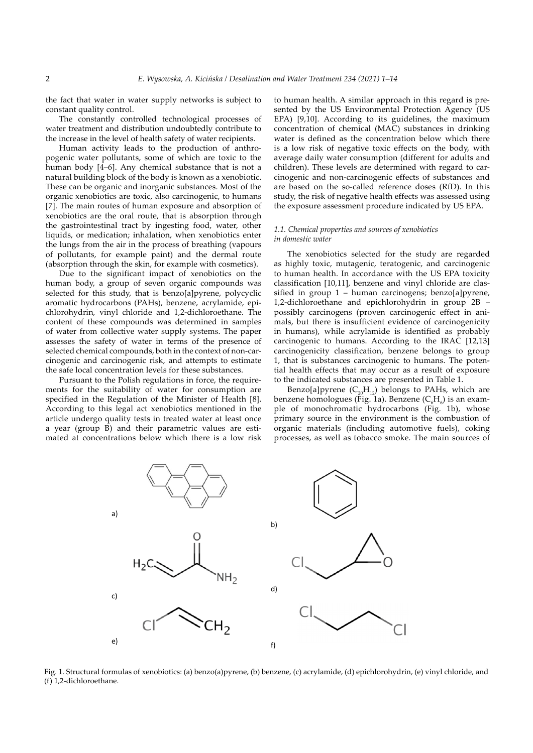the fact that water in water supply networks is subject to constant quality control.

The constantly controlled technological processes of water treatment and distribution undoubtedly contribute to the increase in the level of health safety of water recipients.

Human activity leads to the production of anthropogenic water pollutants, some of which are toxic to the human body [4–6]. Any chemical substance that is not a natural building block of the body is known as a xenobiotic. These can be organic and inorganic substances. Most of the organic xenobiotics are toxic, also carcinogenic, to humans [7]. The main routes of human exposure and absorption of xenobiotics are the oral route, that is absorption through the gastrointestinal tract by ingesting food, water, other liquids, or medication; inhalation, when xenobiotics enter the lungs from the air in the process of breathing (vapours of pollutants, for example paint) and the dermal route (absorption through the skin, for example with cosmetics).

Due to the significant impact of xenobiotics on the human body, a group of seven organic compounds was selected for this study, that is benzo[a]pyrene, polycyclic aromatic hydrocarbons (PAHs), benzene, acrylamide, epichlorohydrin, vinyl chloride and 1,2-dichloroethane. The content of these compounds was determined in samples of water from collective water supply systems. The paper assesses the safety of water in terms of the presence of selected chemical compounds, both in the context of non-carcinogenic and carcinogenic risk, and attempts to estimate the safe local concentration levels for these substances.

Pursuant to the Polish regulations in force, the requirements for the suitability of water for consumption are specified in the Regulation of the Minister of Health [8]. According to this legal act xenobiotics mentioned in the article undergo quality tests in treated water at least once a year (group B) and their parametric values are estimated at concentrations below which there is a low risk to human health. A similar approach in this regard is presented by the US Environmental Protection Agency (US EPA) [9,10]. According to its guidelines, the maximum concentration of chemical (MAC) substances in drinking water is defined as the concentration below which there is a low risk of negative toxic effects on the body, with average daily water consumption (different for adults and children). These levels are determined with regard to carcinogenic and non-carcinogenic effects of substances and are based on the so-called reference doses (RfD). In this study, the risk of negative health effects was assessed using the exposure assessment procedure indicated by US EPA.

## *1.1. Chemical properties and sources of xenobiotics in domestic water*

The xenobiotics selected for the study are regarded as highly toxic, mutagenic, teratogenic, and carcinogenic to human health. In accordance with the US EPA toxicity classification [10,11], benzene and vinyl chloride are classified in group 1 – human carcinogens; benzo[a]pyrene, 1,2-dichloroethane and epichlorohydrin in group 2B – possibly carcinogens (proven carcinogenic effect in animals, but there is insufficient evidence of carcinogenicity in humans), while acrylamide is identified as probably carcinogenic to humans. According to the IRAC [12,13] carcinogenicity classification, benzene belongs to group 1, that is substances carcinogenic to humans. The potential health effects that may occur as a result of exposure to the indicated substances are presented in Table 1.

Benzo[a]pyrene  $(C_{20}H_{12})$  belongs to PAHs, which are benzene homologues (Fig. 1a). Benzene ( $\mathrm{C}_{\mathrm{6}}\mathrm{H}_{\mathrm{6}}$ ) is an example of monochromatic hydrocarbons (Fig. 1b), whose primary source in the environment is the combustion of organic materials (including automotive fuels), coking processes, as well as tobacco smoke. The main sources of



Fig. 1. Structural formulas of xenobiotics: (a) benzo(a)pyrene, (b) benzene, (c) acrylamide, (d) epichlorohydrin, (e) vinyl chloride, and (f) 1,2-dichloroethane.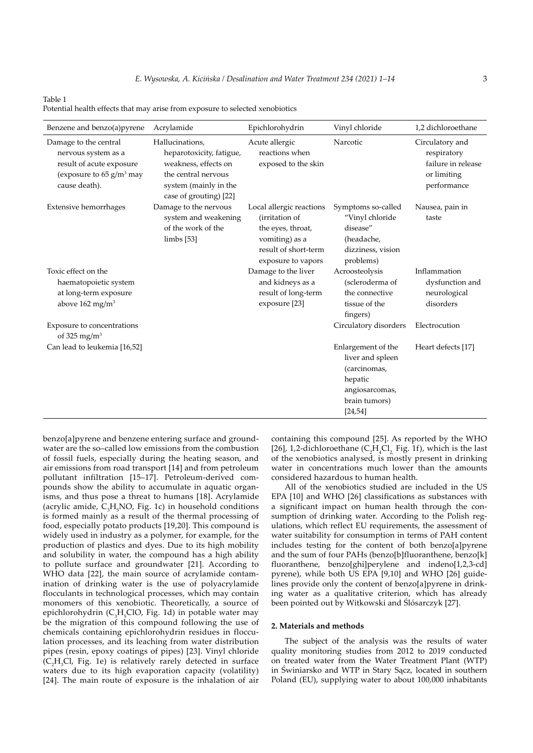#### Table 1

| Benzene and benzo(a)pyrene                                                                                                          | Acrylamide                                                                                                                                    | Epichlorohydrin                                                                                                                 | Vinyl chloride                                                                                                   | 1,2 dichloroethane                                                                 |
|-------------------------------------------------------------------------------------------------------------------------------------|-----------------------------------------------------------------------------------------------------------------------------------------------|---------------------------------------------------------------------------------------------------------------------------------|------------------------------------------------------------------------------------------------------------------|------------------------------------------------------------------------------------|
| Damage to the central<br>nervous system as a<br>result of acute exposure<br>(exposure to $65$ g/m <sup>3</sup> may<br>cause death). | Hallucinations,<br>heparotoxicity, fatigue,<br>weakness, effects on<br>the central nervous<br>system (mainly in the<br>case of grouting) [22] | Acute allergic<br>reactions when<br>exposed to the skin                                                                         | Narcotic                                                                                                         | Circulatory and<br>respiratory<br>failure in release<br>or limiting<br>performance |
| Extensive hemorrhages                                                                                                               | Damage to the nervous<br>system and weakening<br>of the work of the<br>limbs[53]                                                              | Local allergic reactions<br>(irritation of<br>the eyes, throat,<br>vomiting) as a<br>result of short-term<br>exposure to vapors | Symptoms so-called<br>"Vinyl chloride<br>disease"<br>(headache,<br>dizziness, vision<br>problems)                | Nausea, pain in<br>taste                                                           |
| Toxic effect on the<br>haematopoietic system<br>at long-term exposure<br>above $162$ mg/m <sup>3</sup>                              |                                                                                                                                               | Damage to the liver<br>and kidneys as a<br>result of long-term<br>exposure [23]                                                 | Acroosteolysis<br>(scleroderma of<br>the connective<br>tissue of the<br>fingers)                                 | Inflammation<br>dysfunction and<br>neurological<br>disorders                       |
| Exposure to concentrations<br>of 325 mg/m <sup>3</sup>                                                                              |                                                                                                                                               |                                                                                                                                 | Circulatory disorders                                                                                            | Electrocution                                                                      |
| Can lead to leukemia [16,52]                                                                                                        |                                                                                                                                               |                                                                                                                                 | Enlargement of the<br>liver and spleen<br>(carcinomas,<br>hepatic<br>angiosarcomas,<br>brain tumors)<br>[24, 54] | Heart defects [17]                                                                 |

Potential health effects that may arise from exposure to selected xenobiotics

benzo[a]pyrene and benzene entering surface and groundwater are the so–called low emissions from the combustion of fossil fuels, especially during the heating season, and air emissions from road transport [14] and from petroleum pollutant infiltration [15–17]. Petroleum-derived compounds show the ability to accumulate in aquatic organisms, and thus pose a threat to humans [18]. Acrylamide (acrylic amide,  $C_3H_5NO$ , Fig. 1c) in household conditions is formed mainly as a result of the thermal processing of food, especially potato products [19,20]. This compound is widely used in industry as a polymer, for example, for the production of plastics and dyes. Due to its high mobility and solubility in water, the compound has a high ability to pollute surface and groundwater [21]. According to WHO data [22], the main source of acrylamide contamination of drinking water is the use of polyacrylamide flocculants in technological processes, which may contain monomers of this xenobiotic. Theoretically, a source of epichlorohydrin (C<sub>3</sub>H<sub>5</sub>ClO, Fig. 1d) in potable water may be the migration of this compound following the use of chemicals containing epichlorohydrin residues in flocculation processes, and its leaching from water distribution pipes (resin, epoxy coatings of pipes) [23]. Vinyl chloride  $(C_2H_3Cl$ , Fig. 1e) is relatively rarely detected in surface waters due to its high evaporation capacity (volatility) [24]. The main route of exposure is the inhalation of air

containing this compound [25]. As reported by the WHO [26], 1,2-dichloroethane ( $C_2H_4Cl_2$ , Fig. 1f), which is the last of the xenobiotics analysed, is mostly present in drinking water in concentrations much lower than the amounts considered hazardous to human health.

All of the xenobiotics studied are included in the US EPA [10] and WHO [26] classifications as substances with a significant impact on human health through the consumption of drinking water. According to the Polish regulations, which reflect EU requirements, the assessment of water suitability for consumption in terms of PAH content includes testing for the content of both benzo[a]pyrene and the sum of four PAHs (benzo[b]fluoranthene, benzo[k] fluoranthene, benzo[ghi]perylene and indeno[1,2,3-cd] pyrene), while both US EPA [9,10] and WHO [26] guidelines provide only the content of benzo[a]pyrene in drinking water as a qualitative criterion, which has already been pointed out by Witkowski and Ślósarczyk [27].

#### **2. Materials and methods**

The subject of the analysis was the results of water quality monitoring studies from 2012 to 2019 conducted on treated water from the Water Treatment Plant (WTP) in Świniarsko and WTP in Stary Sącz, located in southern Poland (EU), supplying water to about 100,000 inhabitants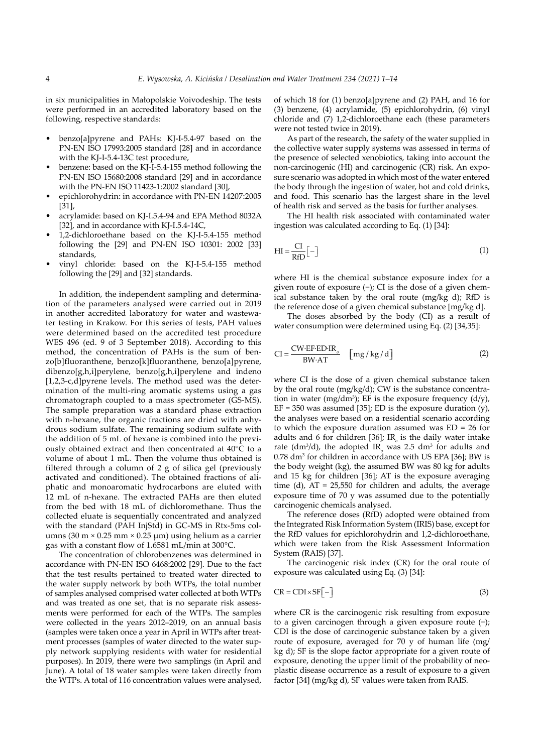in six municipalities in Małopolskie Voivodeship. The tests were performed in an accredited laboratory based on the following, respective standards:

- benzo[a]pyrene and PAHs: KJ-I-5.4-97 based on the PN-EN ISO 17993:2005 standard [28] and in accordance with the KJ-I-5.4-13C test procedure,
- benzene: based on the KJ-I-5.4-155 method following the PN-EN ISO 15680:2008 standard [29] and in accordance with the PN-EN ISO 11423-1:2002 standard [30],
- epichlorohydrin: in accordance with PN-EN 14207:2005 [31],
- acrylamide: based on KJ-I.5.4-94 and EPA Method 8032A [32], and in accordance with KJ-I.5.4-14C,
- 1,2-dichloroethane based on the KJ-I-5.4-155 method following the [29] and PN-EN ISO 10301: 2002 [33] standards,
- vinyl chloride: based on the KJ-I-5.4-155 method following the [29] and [32] standards.

In addition, the independent sampling and determination of the parameters analysed were carried out in 2019 in another accredited laboratory for water and wastewater testing in Krakow. For this series of tests, PAH values were determined based on the accredited test procedure WES 496 (ed. 9 of 3 September 2018). According to this method, the concentration of PAHs is the sum of benzo[b]fluoranthene, benzo[k]fluoranthene, benzo[a]pyrene, dibenzo[g,h,i]perylene, benzo[g,h,i]perylene and indeno [1,2,3-c,d]pyrene levels. The method used was the determination of the multi-ring aromatic systems using a gas chromatograph coupled to a mass spectrometer (GS-MS). The sample preparation was a standard phase extraction with n-hexane, the organic fractions are dried with anhydrous sodium sulfate. The remaining sodium sulfate with the addition of 5 mL of hexane is combined into the previously obtained extract and then concentrated at 40°C to a volume of about 1 mL. Then the volume thus obtained is filtered through a column of 2 g of silica gel (previously activated and conditioned). The obtained fractions of aliphatic and monoaromatic hydrocarbons are eluted with 12 mL of n-hexane. The extracted PAHs are then eluted from the bed with 18 mL of dichloromethane. Thus the collected eluate is sequentially concentrated and analyzed with the standard (PAH InjStd) in GC-MS in Rtx-5ms columns (30 m  $\times$  0.25 mm  $\times$  0.25 µm) using helium as a carrier gas with a constant flow of 1.6581 mL/min at 300°C.

The concentration of chlorobenzenes was determined in accordance with PN-EN ISO 6468:2002 [29]. Due to the fact that the test results pertained to treated water directed to the water supply network by both WTPs, the total number of samples analysed comprised water collected at both WTPs and was treated as one set, that is no separate risk assessments were performed for each of the WTPs. The samples were collected in the years 2012–2019, on an annual basis (samples were taken once a year in April in WTPs after treatment processes (samples of water directed to the water supply network supplying residents with water for residential purposes). In 2019, there were two samplings (in April and June). A total of 18 water samples were taken directly from the WTPs. A total of 116 concentration values were analysed, of which 18 for (1) benzo[a]pyrene and (2) PAH, and 16 for (3) benzene, (4) acrylamide, (5) epichlorohydrin, (6) vinyl chloride and (7) 1,2-dichloroethane each (these parameters were not tested twice in 2019).

As part of the research, the safety of the water supplied in the collective water supply systems was assessed in terms of the presence of selected xenobiotics, taking into account the non-carcinogenic (HI) and carcinogenic (CR) risk. An exposure scenario was adopted in which most of the water entered the body through the ingestion of water, hot and cold drinks, and food. This scenario has the largest share in the level of health risk and served as the basis for further analyses.

The HI health risk associated with contaminated water ingestion was calculated according to Eq. (1) [34]:

$$
H I = \frac{CI}{RfD} \left[ - \right] \tag{1}
$$

where HI is the chemical substance exposure index for a given route of exposure (−); CI is the dose of a given chemical substance taken by the oral route (mg/kg d); RfD is the reference dose of a given chemical substance [mg/kg d].

The doses absorbed by the body (CI) as a result of water consumption were determined using Eq. (2) [34,35]:

$$
CI = \frac{CW \cdot EF \cdot ED \cdot IR_{o}}{BW \cdot AT} \quad [mg/kg/d]
$$
 (2)

where CI is the dose of a given chemical substance taken by the oral route (mg/kg/d); CW is the substance concentration in water (mg/dm<sup>3</sup>); EF is the exposure frequency  $(d/y)$ ,  $EF = 350$  was assumed [35]; ED is the exposure duration (y), the analyses were based on a residential scenario according to which the exposure duration assumed was ED = 26 for adults and 6 for children [36]; IR<sub>0</sub> is the daily water intake rate ( $dm^3/d$ ), the adopted IR<sub>o</sub> was 2.5 dm<sup>3</sup> for adults and  $0.78$  dm<sup>3</sup> for children in accordance with US EPA [36]; BW is the body weight (kg), the assumed BW was 80 kg for adults and 15 kg for children [36]; AT is the exposure averaging time (d),  $AT = 25,550$  for children and adults, the average exposure time of 70 y was assumed due to the potentially carcinogenic chemicals analysed.

The reference doses (RfD) adopted were obtained from the Integrated Risk Information System (IRIS) base, except for the RfD values for epichlorohydrin and 1,2-dichloroethane, which were taken from the Risk Assessment Information System (RAIS) [37].

The carcinogenic risk index (CR) for the oral route of exposure was calculated using Eq. (3) [34]:

$$
CR = CDI \times SF[-]
$$
 (3)

where CR is the carcinogenic risk resulting from exposure to a given carcinogen through a given exposure route (−); CDI is the dose of carcinogenic substance taken by a given route of exposure, averaged for 70 y of human life (mg/ kg d); SF is the slope factor appropriate for a given route of exposure, denoting the upper limit of the probability of neoplastic disease occurrence as a result of exposure to a given factor [34] (mg/kg d), SF values were taken from RAIS.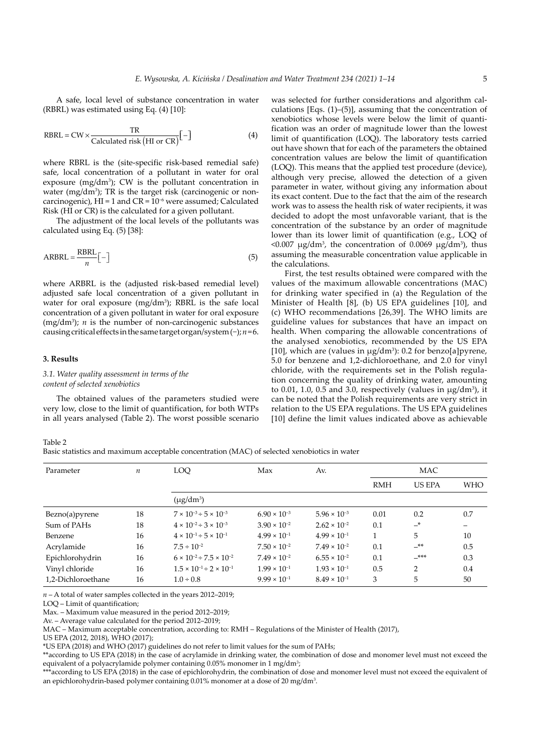A safe, local level of substance concentration in water (RBRL) was estimated using Eq. (4) [10]:

$$
RBRL = CW \times \frac{TR}{Calculated risk (HI or CR)}[-]
$$
 (4)

where RBRL is the (site-specific risk-based remedial safe) safe, local concentration of a pollutant in water for oral exposure  $(mg/dm^3)$ ; CW is the pollutant concentration in water  $(mg/dm<sup>3</sup>)$ ; TR is the target risk (carcinogenic or noncarcinogenic),  $\overline{HI} = 1$  and  $\overline{CR} = \overline{10^{-6}}$  were assumed; Calculated Risk (HI or CR) is the calculated for a given pollutant.

The adjustment of the local levels of the pollutants was calculated using Eq. (5) [38]:

$$
ARBRL = \frac{RBRL}{n} \left[ - \right] \tag{5}
$$

where ARBRL is the (adjusted risk-based remedial level) adjusted safe local concentration of a given pollutant in water for oral exposure  $(mg/dm<sup>3</sup>)$ ; RBRL is the safe local concentration of a given pollutant in water for oral exposure  $(mg/dm<sup>3</sup>)$ ; *n* is the number of non-carcinogenic substances causing critical effects in the same target organ/system (−); *n*=6.

#### **3. Results**

## *3.1. Water quality assessment in terms of the content of selected xenobiotics*

The obtained values of the parameters studied were very low, close to the limit of quantification, for both WTPs in all years analysed (Table 2). The worst possible scenario was selected for further considerations and algorithm calculations [Eqs.  $(1)$ – $(5)$ ], assuming that the concentration of xenobiotics whose levels were below the limit of quantification was an order of magnitude lower than the lowest limit of quantification (LOQ). The laboratory tests carried out have shown that for each of the parameters the obtained concentration values are below the limit of quantification (LOQ). This means that the applied test procedure (device), although very precise, allowed the detection of a given parameter in water, without giving any information about its exact content. Due to the fact that the aim of the research work was to assess the health risk of water recipients, it was decided to adopt the most unfavorable variant, that is the concentration of the substance by an order of magnitude lower than its lower limit of quantification (e.g., LOQ of  $\langle 0.007 \mu g/dm^3 \rangle$ , the concentration of 0.0069  $\mu g/dm^3$ ), thus assuming the measurable concentration value applicable in the calculations.

First, the test results obtained were compared with the values of the maximum allowable concentrations (MAC) for drinking water specified in (a) the Regulation of the Minister of Health [8], (b) US EPA guidelines [10], and (c) WHO recommendations [26,39]. The WHO limits are guideline values for substances that have an impact on health. When comparing the allowable concentrations of the analysed xenobiotics, recommended by the US EPA [10], which are (values in  $\mu$ g/dm<sup>3</sup>): 0.2 for benzo[a]pyrene, 5.0 for benzene and 1,2-dichloroethane, and 2.0 for vinyl chloride, with the requirements set in the Polish regulation concerning the quality of drinking water, amounting to 0.01, 1.0, 0.5 and 3.0, respectively (values in  $\mu$ g/dm<sup>3</sup>), it can be noted that the Polish requirements are very strict in relation to the US EPA regulations. The US EPA guidelines [10] define the limit values indicated above as achievable

Table 2 Basic statistics and maximum acceptable concentration (MAC) of selected xenobiotics in water

| Parameter          | $\boldsymbol{n}$ | LOQ                                        | Max<br>Av.            |                       | MAC        |               |            |
|--------------------|------------------|--------------------------------------------|-----------------------|-----------------------|------------|---------------|------------|
|                    |                  |                                            |                       |                       | <b>RMH</b> | <b>US EPA</b> | <b>WHO</b> |
|                    |                  | $(\mu$ g/dm <sup>3</sup> )                 |                       |                       |            |               |            |
| Bezno(a) pyrene    | 18               | $7 \times 10^{-3} \div 5 \times 10^{-3}$   | $6.90 \times 10^{-3}$ | $5.96 \times 10^{-3}$ | 0.01       | 0.2           | 0.7        |
| Sum of PAHs        | 18               | $4 \times 10^{-2} \div 3 \times 10^{-3}$   | $3.90 \times 10^{-2}$ | $2.62 \times 10^{-2}$ | 0.1        | $-$ *         |            |
| Benzene            | 16               | $4 \times 10^{-1} \div 5 \times 10^{-1}$   | $4.99 \times 10^{-1}$ | $4.99 \times 10^{-1}$ |            | 5             | 10         |
| Acrylamide         | 16               | $7.5 \div 10^{-2}$                         | $7.50 \times 10^{-2}$ | $7.49 \times 10^{-2}$ | 0.1        | $-***$        | 0.5        |
| Epichlorohydrin    | 16               | $6 \times 10^{-2} \div 7.5 \times 10^{-2}$ | $7.49 \times 10^{-2}$ | $6.55 \times 10^{-2}$ | 0.1        | $***-$        | 0.3        |
| Vinyl chloride     | 16               | $1.5 \times 10^{-1} \div 2 \times 10^{-1}$ | $1.99 \times 10^{-1}$ | $1.93 \times 10^{-1}$ | 0.5        | 2             | 0.4        |
| 1,2-Dichloroethane | 16               | $1.0 \div 0.8$                             | $9.99 \times 10^{-1}$ | $8.49 \times 10^{-1}$ | 3          | 5             | 50         |

*n* – A total of water samples collected in the years 2012–2019;

LOQ – Limit of quantification;

Max. – Maximum value measured in the period 2012–2019;

Av. – Average value calculated for the period 2012–2019;

MAC – Maximum acceptable concentration, according to: RMH – Regulations of the Minister of Health (2017),

US EPA (2012, 2018), WHO (2017);

\*US EPA (2018) and WHO (2017) guidelines do not refer to limit values for the sum of PAHs;

\*\*according to US EPA (2018) in the case of acrylamide in drinking water, the combination of dose and monomer level must not exceed the equivalent of a polyacrylamide polymer containing 0.05% monomer in 1 mg/dm<sup>3</sup>

\*\*\*according to US EPA (2018) in the case of epichlorohydrin, the combination of dose and monomer level must not exceed the equivalent of an epichlorohydrin-based polymer containing 0.01% monomer at a dose of 20 mg/dm3 .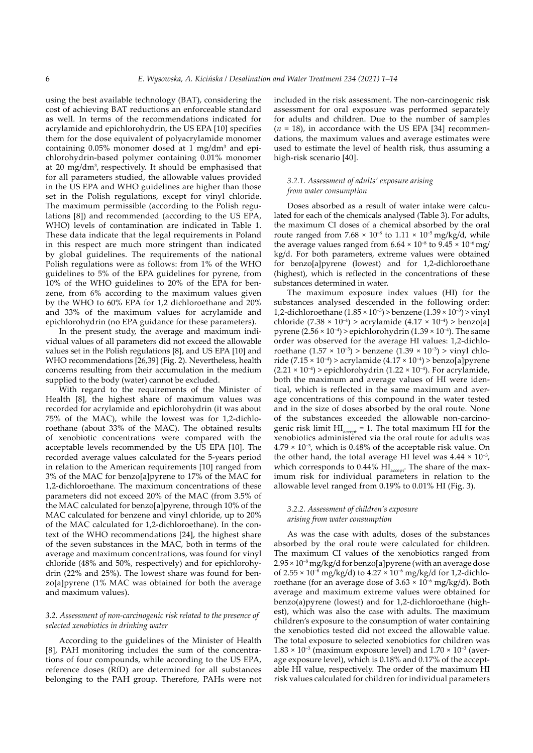using the best available technology (BAT), considering the cost of achieving BAT reductions an enforceable standard as well. In terms of the recommendations indicated for acrylamide and epichlorohydrin, the US EPA [10] specifies them for the dose equivalent of polyacrylamide monomer containing  $0.05\%$  monomer dosed at 1 mg/dm<sup>3</sup> and epichlorohydrin-based polymer containing 0.01% monomer at 20 mg/dm3 , respectively. It should be emphasised that for all parameters studied, the allowable values provided in the US EPA and WHO guidelines are higher than those set in the Polish regulations, except for vinyl chloride. The maximum permissible (according to the Polish regulations [8]) and recommended (according to the US EPA, WHO) levels of contamination are indicated in Table 1. These data indicate that the legal requirements in Poland in this respect are much more stringent than indicated by global guidelines. The requirements of the national Polish regulations were as follows: from 1% of the WHO guidelines to 5% of the EPA guidelines for pyrene, from 10% of the WHO guidelines to 20% of the EPA for benzene, from 6% according to the maximum values given by the WHO to 60% EPA for 1,2 dichloroethane and 20% and 33% of the maximum values for acrylamide and epichlorohydrin (no EPA guidance for these parameters).

In the present study, the average and maximum individual values of all parameters did not exceed the allowable values set in the Polish regulations [8], and US EPA [10] and WHO recommendations [26,39] (Fig. 2). Nevertheless, health concerns resulting from their accumulation in the medium supplied to the body (water) cannot be excluded.

With regard to the requirements of the Minister of Health [8], the highest share of maximum values was recorded for acrylamide and epichlorohydrin (it was about 75% of the MAC), while the lowest was for 1,2-dichloroethane (about 33% of the MAC). The obtained results of xenobiotic concentrations were compared with the acceptable levels recommended by the US EPA [10]. The recorded average values calculated for the 5-years period in relation to the American requirements [10] ranged from 3% of the MAC for benzo[a]pyrene to 17% of the MAC for 1,2-dichloroethane. The maximum concentrations of these parameters did not exceed 20% of the MAC (from 3.5% of the MAC calculated for benzo[a]pyrene, through 10% of the MAC calculated for benzene and vinyl chloride, up to 20% of the MAC calculated for 1,2-dichloroethane). In the context of the WHO recommendations [24], the highest share of the seven substances in the MAC, both in terms of the average and maximum concentrations, was found for vinyl chloride (48% and 50%, respectively) and for epichlorohydrin (22% and 25%). The lowest share was found for benzo[a]pyrene (1% MAC was obtained for both the average and maximum values).

#### *3.2. Assessment of non-carcinogenic risk related to the presence of selected xenobiotics in drinking water*

According to the guidelines of the Minister of Health [8], PAH monitoring includes the sum of the concentrations of four compounds, while according to the US EPA, reference doses (RfD) are determined for all substances belonging to the PAH group. Therefore, PAHs were not included in the risk assessment. The non-carcinogenic risk assessment for oral exposure was performed separately for adults and children. Due to the number of samples  $(n = 18)$ , in accordance with the US EPA [34] recommendations, the maximum values and average estimates were used to estimate the level of health risk, thus assuming a high-risk scenario [40].

## *3.2.1. Assessment of adults' exposure arising from water consumption*

Doses absorbed as a result of water intake were calculated for each of the chemicals analysed (Table 3). For adults, the maximum CI doses of a chemical absorbed by the oral route ranged from  $7.68 \times 10^{-8}$  to  $1.11 \times 10^{-5}$  mg/kg/d, while the average values ranged from  $6.64 \times 10^{-8}$  to  $9.45 \times 10^{-6}$  mg/ kg/d. For both parameters, extreme values were obtained for benzo[a]pyrene (lowest) and for 1,2-dichloroethane (highest), which is reflected in the concentrations of these substances determined in water.

The maximum exposure index values (HI) for the substances analysed descended in the following order: 1,2-dichloroethane (1.85 × 10−3) > benzene (1.39 × 10−3) > vinyl chloride (7.38 × 10−4) > acrylamide (4.17 × 10−4) > benzo[a] pyrene  $(2.56 \times 10^{-4})$  > epichlorohydrin  $(1.39 \times 10^{-4})$ . The same order was observed for the average HI values: 1,2-dichloroethane (1.57 × 10<sup>-3</sup>) > benzene (1.39 × 10<sup>-3</sup>) > vinyl chloride (7.15 × 10<sup>-4</sup>) > acrylamide (4.17 × 10<sup>-4</sup>) > benzo[a]pyrene  $(2.21 \times 10^{-4})$  > epichlorohydrin  $(1.22 \times 10^{-4})$ . For acrylamide, both the maximum and average values of HI were identical, which is reflected in the same maximum and average concentrations of this compound in the water tested and in the size of doses absorbed by the oral route. None of the substances exceeded the allowable non-carcinogenic risk limit  $HI_{\text{accept}} = 1$ . The total maximum HI for the xenobiotics administered via the oral route for adults was 4.79 × 10−3, which is 0.48% of the acceptable risk value. On the other hand, the total average HI level was  $4.44 \times 10^{-3}$ , which corresponds to 0.44%  $\rm HI_{\rm accept}.$  The share of the maximum risk for individual parameters in relation to the allowable level ranged from 0.19% to 0.01% HI (Fig. 3).

#### *3.2.2. Assessment of children's exposure arising from water consumption*

As was the case with adults, doses of the substances absorbed by the oral route were calculated for children. The maximum CI values of the xenobiotics ranged from 2.95 × 10−8 mg/kg/d for benzo[a]pyrene (with an average dose of 2.55 × 10−8 mg/kg/d) to 4.27 × 10−6 mg/kg/d for 1,2-dichloroethane (for an average dose of 3.63 × 10−6 mg/kg/d). Both average and maximum extreme values were obtained for benzo(a)pyrene (lowest) and for 1,2-dichloroethane (highest), which was also the case with adults. The maximum children's exposure to the consumption of water containing the xenobiotics tested did not exceed the allowable value. The total exposure to selected xenobiotics for children was 1.83 × 10<sup>-3</sup> (maximum exposure level) and 1.70 × 10<sup>-3</sup> (average exposure level), which is 0.18% and 0.17% of the acceptable HI value, respectively. The order of the maximum HI risk values calculated for children for individual parameters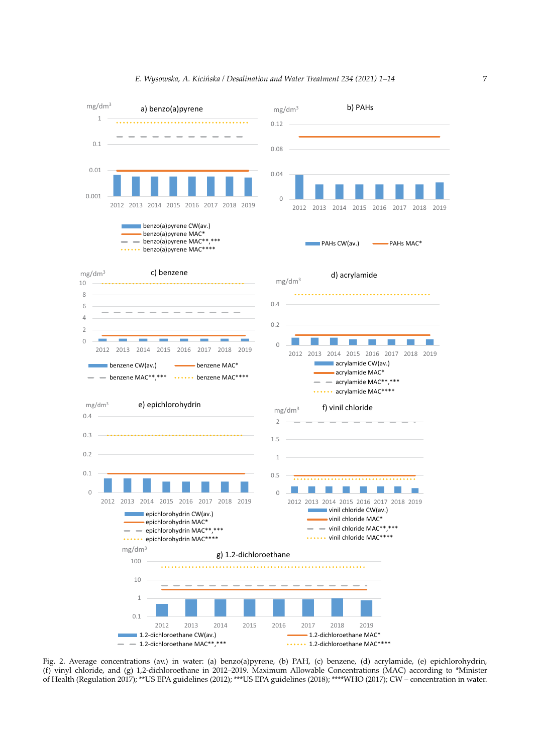

## *E. Wysowska, A. Kicińska / Desalination and Water Treatment 234 (2021) 1–14* 7

Fig. 2. Average concentrations (av.) in water: (a) benzo(a)pyrene, (b) PAH, (c) benzene, (d) acrylamide, (e) epichlorohydrin, (f) vinyl chloride, and (g) 1,2-dichloroethane in 2012–2019. Maximum Allowable Concentrations (MAC) according to \*Minister of Health (Regulation 2017); \*\*US EPA guidelines (2012); \*\*\*US EPA guidelines (2018); \*\*\*\*WHO (2017); CW – concentration in water.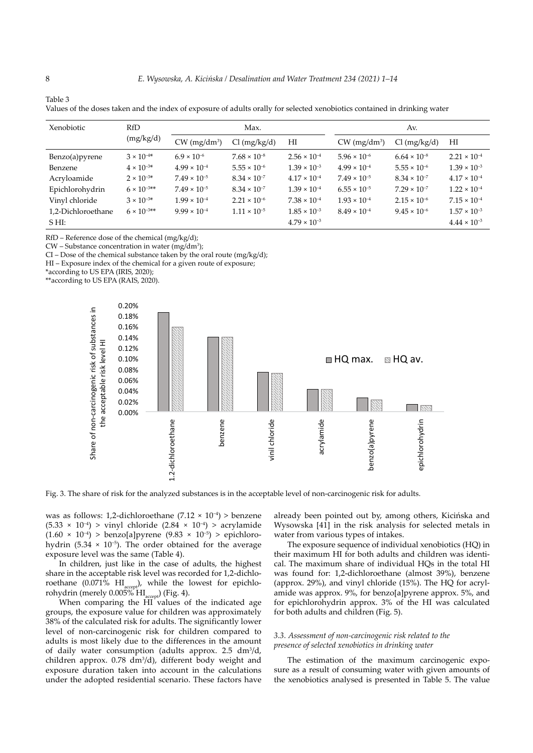| Xenobiotic         | <b>RfD</b><br>(mg/kg/d) | Max.                       |                       | Av.                   |                            |                       |                       |
|--------------------|-------------------------|----------------------------|-----------------------|-----------------------|----------------------------|-----------------------|-----------------------|
|                    |                         | $CW$ (mg/dm <sup>3</sup> ) | $Cl$ (mg/kg/d)        | HI                    | $CW$ (mg/dm <sup>3</sup> ) | $Cl$ (mg/kg/d)        | HI                    |
| Benzo(a) pyrene    | $3 \times 10^{-4*}$     | $6.9 \times 10^{-6}$       | $7.68 \times 10^{-8}$ | $2.56 \times 10^{-4}$ | $5.96 \times 10^{-6}$      | $6.64 \times 10^{-8}$ | $2.21 \times 10^{-4}$ |
| Benzene            | $4 \times 10^{-3*}$     | $4.99 \times 10^{-4}$      | $5.55 \times 10^{-6}$ | $1.39 \times 10^{-3}$ | $4.99 \times 10^{-4}$      | $5.55 \times 10^{-6}$ | $1.39 \times 10^{-3}$ |
| Acryloamide        | $2 \times 10^{-3*}$     | $7.49 \times 10^{-5}$      | $8.34 \times 10^{-7}$ | $4.17 \times 10^{-4}$ | $7.49 \times 10^{-5}$      | $8.34 \times 10^{-7}$ | $4.17 \times 10^{-4}$ |
| Epichlorohydrin    | $6 \times 10^{-3**}$    | $7.49 \times 10^{-5}$      | $8.34 \times 10^{-7}$ | $1.39 \times 10^{-4}$ | $6.55 \times 10^{-5}$      | $7.29 \times 10^{-7}$ | $1.22 \times 10^{-4}$ |
| Vinyl chloride     | $3 \times 10^{-3*}$     | $1.99 \times 10^{-4}$      | $2.21 \times 10^{-6}$ | $7.38 \times 10^{-4}$ | $1.93 \times 10^{-4}$      | $2.15 \times 10^{-6}$ | $7.15 \times 10^{-4}$ |
| 1,2-Dichloroethane | $6 \times 10^{-3**}$    | $9.99 \times 10^{-4}$      | $1.11 \times 10^{-5}$ | $1.85 \times 10^{-3}$ | $8.49 \times 10^{-4}$      | $9.45 \times 10^{-6}$ | $1.57 \times 10^{-3}$ |
| $S H I$ :          |                         |                            |                       | $4.79 \times 10^{-3}$ |                            |                       | $4.44 \times 10^{-3}$ |

Values of the doses taken and the index of exposure of adults orally for selected xenobiotics contained in drinking water

RfD – Reference dose of the chemical (mg/kg/d);

 $CW$  – Substance concentration in water (mg/dm<sup>3</sup>);

CI – Dose of the chemical substance taken by the oral route (mg/kg/d);

HI – Exposure index of the chemical for a given route of exposure;

\*according to US EPA (IRIS, 2020);

\*\*according to US EPA (RAIS, 2020).



Fig. 3. The share of risk for the analyzed substances is in the acceptable level of non-carcinogenic risk for adults.

was as follows: 1,2-dichloroethane (7.12 × 10−4) > benzene (5.33 × 10−4) > vinyl chloride (2.84 × 10−4) > acrylamide (1.60 × 10−4) > benzo[a]pyrene (9.83 × 10−5) > epichlorohydrin (5.34  $\times$  10<sup>-5</sup>). The order obtained for the average exposure level was the same (Table 4).

In children, just like in the case of adults, the highest share in the acceptable risk level was recorded for 1,2-dichloroethane (0.071%  $\text{HI}_{\text{accept}}$ ), while the lowest for epichlorohydrin (merely 0.005% HI<sub>accept</sub>) (Fig. 4).

When comparing the HI values of the indicated age groups, the exposure value for children was approximately 38% of the calculated risk for adults. The significantly lower level of non-carcinogenic risk for children compared to adults is most likely due to the differences in the amount of daily water consumption (adults approx.  $2.5 \text{ dm}^3/\text{d}$ , children approx.  $0.78 \text{ dm}^3/\text{d}$ , different body weight and exposure duration taken into account in the calculations under the adopted residential scenario. These factors have

already been pointed out by, among others, Kicińska and Wysowska [41] in the risk analysis for selected metals in water from various types of intakes.

The exposure sequence of individual xenobiotics (HQ) in their maximum HI for both adults and children was identical. The maximum share of individual HQs in the total HI was found for: 1,2-dichloroethane (almost 39%), benzene (approx. 29%), and vinyl chloride (15%). The HQ for acrylamide was approx. 9%, for benzo[a]pyrene approx. 5%, and for epichlorohydrin approx. 3% of the HI was calculated for both adults and children (Fig. 5).

#### *3.3. Assessment of non-carcinogenic risk related to the presence of selected xenobiotics in drinking water*

The estimation of the maximum carcinogenic exposure as a result of consuming water with given amounts of the xenobiotics analysed is presented in Table 5. The value

Table 3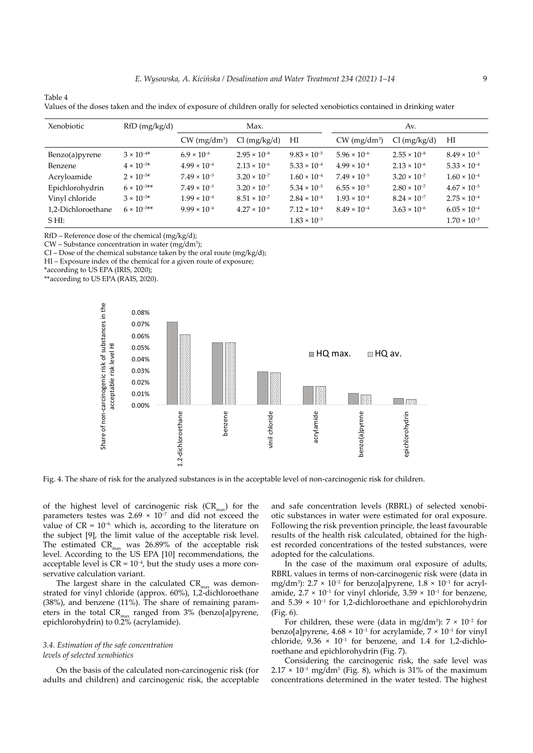| Xenobiotic         | RfD (mg/kg/d)        |                            | Max.                  |                       |                            | Av.                   |                       |
|--------------------|----------------------|----------------------------|-----------------------|-----------------------|----------------------------|-----------------------|-----------------------|
|                    |                      | $CW$ (mg/dm <sup>3</sup> ) | $Cl$ (mg/kg/d)        | HI                    | $CW$ (mg/dm <sup>3</sup> ) | $Cl$ (mg/kg/d)        | HI                    |
| Benzo(a)pyrene     | $3 \times 10^{-4*}$  | $6.9 \times 10^{-6}$       | $2.95 \times 10^{-8}$ | $9.83 \times 10^{-5}$ | $5.96 \times 10^{-6}$      | $2.55 \times 10^{-8}$ | $8.49 \times 10^{-5}$ |
| Benzene            | $4 \times 10^{-3*}$  | $4.99 \times 10^{-4}$      | $2.13 \times 10^{-6}$ | $5.33 \times 10^{-4}$ | $4.99 \times 10^{-4}$      | $2.13 \times 10^{-6}$ | $5.33 \times 10^{-4}$ |
| Acryloamide        | $2 \times 10^{-3*}$  | $7.49 \times 10^{-5}$      | $3.20 \times 10^{-7}$ | $1.60 \times 10^{-4}$ | $7.49 \times 10^{-5}$      | $3.20 \times 10^{-7}$ | $1.60 \times 10^{-4}$ |
| Epichlorohydrin    | $6 \times 10^{-3**}$ | $7.49 \times 10^{-5}$      | $3.20 \times 10^{-7}$ | $5.34 \times 10^{-5}$ | $6.55 \times 10^{-5}$      | $2.80 \times 10^{-7}$ | $4.67 \times 10^{-5}$ |
| Vinyl chloride     | $3 \times 10^{-3*}$  | $1.99 \times 10^{-4}$      | $8.51 \times 10^{-7}$ | $2.84 \times 10^{-4}$ | $1.93 \times 10^{-4}$      | $8.24 \times 10^{-7}$ | $2.75 \times 10^{-4}$ |
| 1,2-Dichloroethane | $6 \times 10^{-3**}$ | $9.99 \times 10^{-4}$      | $4.27 \times 10^{-6}$ | $7.12 \times 10^{-4}$ | $8.49 \times 10^{-4}$      | $3.63 \times 10^{-6}$ | $6.05 \times 10^{-4}$ |
| $S H I$ :          |                      |                            |                       | $1.83 \times 10^{-3}$ |                            |                       | $1.70 \times 10^{-3}$ |

| $-$                                                                                                                         |  |  |
|-----------------------------------------------------------------------------------------------------------------------------|--|--|
| Values of the doses taken and the index of exposure of children orally for selected xenobiotics contained in drinking water |  |  |

RfD – Reference dose of the chemical (mg/kg/d);

 $CW$  – Substance concentration in water (mg/dm<sup>3</sup>);

 $CI - Does of the chemical substance taken by the oral route (mg/kg/d);$ 

HI – Exposure index of the chemical for a given route of exposure;

\*according to US EPA (IRIS, 2020);

Table 4

\*\*according to US EPA (RAIS, 2020).



Fig. 4. The share of risk for the analyzed substances is in the acceptable level of non-carcinogenic risk for children.

of the highest level of carcinogenic risk  $(CR_{\text{max}})$  for the parameters testes was  $2.69 \times 10^{-7}$  and did not exceed the value of  $CR = 10^{-6}$ , which is, according to the literature on the subject [9], the limit value of the acceptable risk level. The estimated  $CR_{max}$  was 26.89% of the acceptable risk level. According to the US EPA [10] recommendations, the acceptable level is  $CR = 10^{-4}$ , but the study uses a more conservative calculation variant.

The largest share in the calculated  $CR_{\text{max}}$  was demonstrated for vinyl chloride (approx. 60%), 1,2-dichloroethane (38%), and benzene (11%). The share of remaining parameters in the total  $CR_{max}$  ranged from 3% (benzo[a]pyrene, epichlorohydrin) to 0.2% (acrylamide).

## *3.4. Estimation of the safe concentration levels of selected xenobiotics*

On the basis of the calculated non-carcinogenic risk (for adults and children) and carcinogenic risk, the acceptable

and safe concentration levels (RBRL) of selected xenobiotic substances in water were estimated for oral exposure. Following the risk prevention principle, the least favourable results of the health risk calculated, obtained for the highest recorded concentrations of the tested substances, were adopted for the calculations.

In the case of the maximum oral exposure of adults, RBRL values in terms of non-carcinogenic risk were (data in mg/dm<sup>3</sup>): 2.7 × 10<sup>-2</sup> for benzo[a]pyrene,  $1.8 \times 10^{-1}$  for acrylamide,  $2.7 \times 10^{-1}$  for vinyl chloride,  $3.59 \times 10^{-1}$  for benzene, and 5.39 × 10−1 for 1,2-dichloroethane and epichlorohydrin (Fig. 6).

For children, these were (data in mg/dm<sup>3</sup>):  $7 \times 10^{-2}$  for benzo[a]pyrene,  $4.68 \times 10^{-1}$  for acrylamide,  $7 \times 10^{-1}$  for vinyl chloride,  $9.36 \times 10^{-1}$  for benzene, and 1.4 for 1,2-dichloroethane and epichlorohydrin (Fig. 7).

Considering the carcinogenic risk, the safe level was  $2.17 \times 10^{-1}$  mg/dm<sup>3</sup> (Fig. 8), which is 31% of the maximum concentrations determined in the water tested. The highest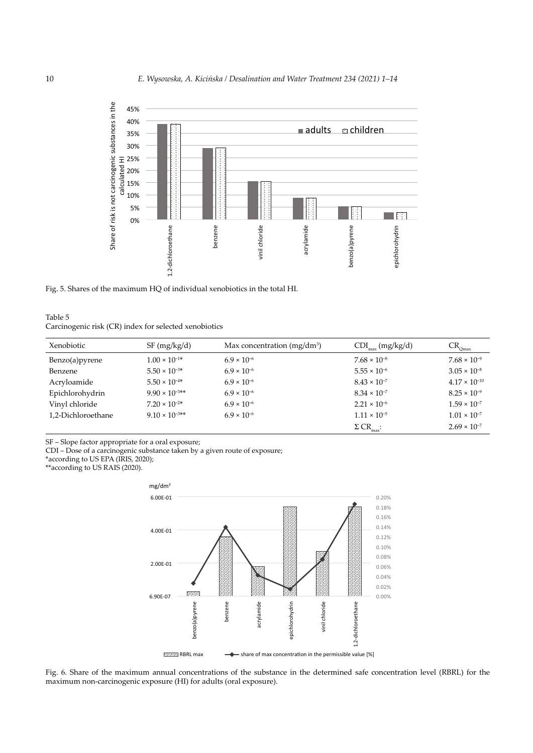

Fig. 5. Shares of the maximum HQ of individual xenobiotics in the total HI.

## Table 5 Carcinogenic risk (CR) index for selected xenobiotics

| Xenobiotic         | SF (mg/kg/d)            | Max concentration (mg/dm <sup>3</sup> ) | $CDI_{max}$ (mg/kg/d)        | $CR_{Qmax}$            |
|--------------------|-------------------------|-----------------------------------------|------------------------------|------------------------|
| Benzo(a) pyrene    | $1.00 \times 10^{-1*}$  | $6.9 \times 10^{-6}$                    | $7.68 \times 10^{-8}$        | $7.68 \times 10^{-9}$  |
| Benzene            | $5.50 \times 10^{-3*}$  | $6.9 \times 10^{-6}$                    | $5.55 \times 10^{-6}$        | $3.05 \times 10^{-8}$  |
| Acryloamide        | $5.50 \times 10^{-4*}$  | $6.9 \times 10^{-6}$                    | $8.43 \times 10^{-7}$        | $4.17 \times 10^{-10}$ |
| Epichlorohydrin    | $9.90 \times 10^{-3**}$ | $6.9 \times 10^{-6}$                    | $8.34 \times 10^{-7}$        | $8.25 \times 10^{-9}$  |
| Vinyl chloride     | $7.20 \times 10^{-2*}$  | $6.9 \times 10^{-6}$                    | $2.21 \times 10^{-6}$        | $1.59 \times 10^{-7}$  |
| 1,2-Dichloroethane | $9.10 \times 10^{-3*}$  | $6.9 \times 10^{-6}$                    | $1.11 \times 10^{-5}$        | $1.01 \times 10^{-7}$  |
|                    |                         |                                         | $\Sigma$ CR <sub>max</sub> : | $2.69 \times 10^{-7}$  |

SF – Slope factor appropriate for a oral exposure;

CDI – Dose of a carcinogenic substance taken by a given route of exposure;

\*according to US EPA (IRIS, 2020);

\*\*according to US RAIS (2020).



Fig. 6. Share of the maximum annual concentrations of the substance in the determined safe concentration level (RBRL) for the maximum non-carcinogenic exposure (HI) for adults (oral exposure).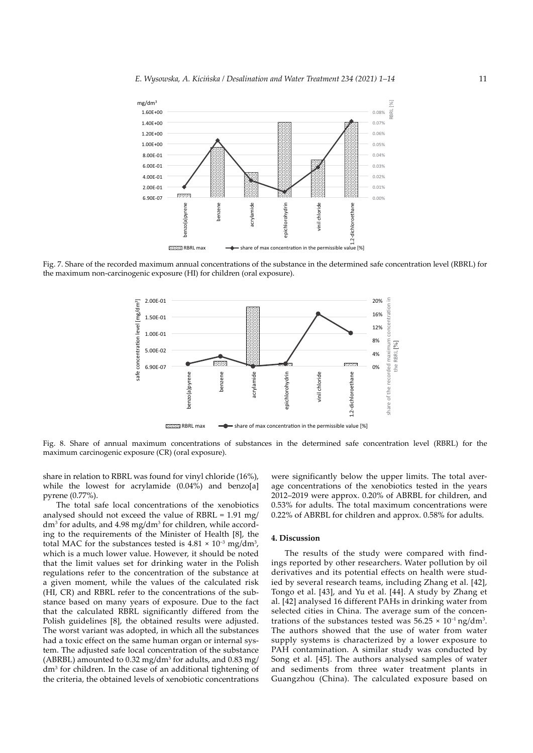

Fig. 7. Share of the recorded maximum annual concentrations of the substance in the determined safe concentration level (RBRL) for the maximum non-carcinogenic exposure (HI) for children (oral exposure).



Fig. 8. Share of annual maximum concentrations of substances in the determined safe concentration level (RBRL) for the maximum carcinogenic exposure (CR) (oral exposure).

share in relation to RBRL was found for vinyl chloride (16%), while the lowest for acrylamide (0.04%) and benzo[a] pyrene (0.77%).

The total safe local concentrations of the xenobiotics analysed should not exceed the value of RBRL = 1.91 mg/ dm<sup>3</sup> for adults, and 4.98 mg/dm<sup>3</sup> for children, while according to the requirements of the Minister of Health [8], the total MAC for the substances tested is  $4.81 \times 10^{-3}$  mg/dm<sup>3</sup>, which is a much lower value. However, it should be noted that the limit values set for drinking water in the Polish regulations refer to the concentration of the substance at a given moment, while the values of the calculated risk (HI, CR) and RBRL refer to the concentrations of the substance based on many years of exposure. Due to the fact that the calculated RBRL significantly differed from the Polish guidelines [8], the obtained results were adjusted. The worst variant was adopted, in which all the substances had a toxic effect on the same human organ or internal system. The adjusted safe local concentration of the substance (ABRBL) amounted to  $0.32 \text{ mg/dm}^3$  for adults, and  $0.83 \text{ mg/d}$ dm3 for children. In the case of an additional tightening of the criteria, the obtained levels of xenobiotic concentrations

were significantly below the upper limits. The total average concentrations of the xenobiotics tested in the years 2012–2019 were approx. 0.20% of ABRBL for children, and 0.53% for adults. The total maximum concentrations were 0.22% of ABRBL for children and approx. 0.58% for adults.

#### **4. Discussion**

The results of the study were compared with findings reported by other researchers. Water pollution by oil derivatives and its potential effects on health were studied by several research teams, including Zhang et al. [42], Tongo et al. [43], and Yu et al. [44]. A study by Zhang et al. [42] analysed 16 different PAHs in drinking water from selected cities in China. The average sum of the concentrations of the substances tested was  $56.25 \times 10^{-1}$  ng/dm<sup>3</sup>. The authors showed that the use of water from water supply systems is characterized by a lower exposure to PAH contamination. A similar study was conducted by Song et al. [45]. The authors analysed samples of water and sediments from three water treatment plants in Guangzhou (China). The calculated exposure based on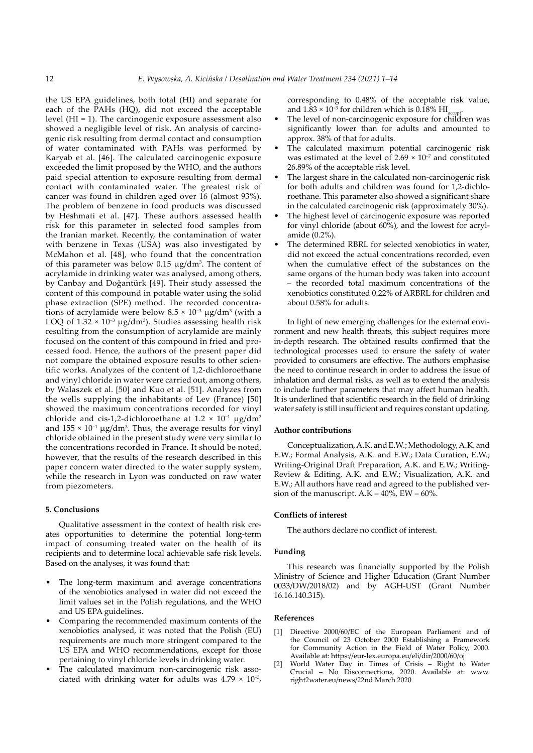the US EPA guidelines, both total (HI) and separate for each of the PAHs (HQ), did not exceed the acceptable level (HI = 1). The carcinogenic exposure assessment also showed a negligible level of risk. An analysis of carcinogenic risk resulting from dermal contact and consumption of water contaminated with PAHs was performed by Karyab et al. [46]. The calculated carcinogenic exposure exceeded the limit proposed by the WHO, and the authors paid special attention to exposure resulting from dermal contact with contaminated water. The greatest risk of cancer was found in children aged over 16 (almost 93%). The problem of benzene in food products was discussed by Heshmati et al. [47]. These authors assessed health risk for this parameter in selected food samples from the Iranian market. Recently, the contamination of water with benzene in Texas (USA) was also investigated by McMahon et al. [48], who found that the concentration of this parameter was below  $0.15 \mu g/dm^3$ . The content of acrylamide in drinking water was analysed, among others, by Canbay and Doğantürk [49]. Their study assessed the content of this compound in potable water using the solid phase extraction (SPE) method. The recorded concentrations of acrylamide were below  $8.5 \times 10^{-3}$  µg/dm<sup>3</sup> (with a LOQ of  $1.32 \times 10^{-3}$  µg/dm<sup>3</sup>). Studies assessing health risk resulting from the consumption of acrylamide are mainly focused on the content of this compound in fried and processed food. Hence, the authors of the present paper did not compare the obtained exposure results to other scientific works. Analyzes of the content of 1,2-dichloroethane and vinyl chloride in water were carried out, among others, by Walaszek et al. [50] and Kuo et al. [51]. Analyzes from the wells supplying the inhabitants of Lev (France) [50] showed the maximum concentrations recorded for vinyl chloride and cis-1,2-dichloroethane at  $1.2 \times 10^{-1}$  µg/dm<sup>3</sup> and  $155 \times 10^{-1}$  µg/dm<sup>3</sup>. Thus, the average results for vinyl chloride obtained in the present study were very similar to the concentrations recorded in France. It should be noted, however, that the results of the research described in this paper concern water directed to the water supply system, while the research in Lyon was conducted on raw water from piezometers.

#### **5. Conclusions**

Qualitative assessment in the context of health risk creates opportunities to determine the potential long-term impact of consuming treated water on the health of its recipients and to determine local achievable safe risk levels. Based on the analyses, it was found that:

- The long-term maximum and average concentrations of the xenobiotics analysed in water did not exceed the limit values set in the Polish regulations, and the WHO and US EPA guidelines.
- Comparing the recommended maximum contents of the xenobiotics analysed, it was noted that the Polish (EU) requirements are much more stringent compared to the US EPA and WHO recommendations, except for those pertaining to vinyl chloride levels in drinking water.
- The calculated maximum non-carcinogenic risk associated with drinking water for adults was  $4.79 \times 10^{-3}$ ,

corresponding to 0.48% of the acceptable risk value, and  $1.83 \times 10^{-3}$  for children which is 0.18% HI

- The level of non-carcinogenic exposure for children was significantly lower than for adults and amounted to approx. 38% of that for adults.
- The calculated maximum potential carcinogenic risk was estimated at the level of 2.69  $\times$  10<sup>-7</sup> and constituted 26.89% of the acceptable risk level.
- The largest share in the calculated non-carcinogenic risk for both adults and children was found for 1,2-dichloroethane. This parameter also showed a significant share in the calculated carcinogenic risk (approximately 30%).
- The highest level of carcinogenic exposure was reported for vinyl chloride (about 60%), and the lowest for acrylamide (0.2%).
- The determined RBRL for selected xenobiotics in water, did not exceed the actual concentrations recorded, even when the cumulative effect of the substances on the same organs of the human body was taken into account – the recorded total maximum concentrations of the xenobiotics constituted 0.22% of ARBRL for children and about 0.58% for adults.

In light of new emerging challenges for the external environment and new health threats, this subject requires more in-depth research. The obtained results confirmed that the technological processes used to ensure the safety of water provided to consumers are effective. The authors emphasise the need to continue research in order to address the issue of inhalation and dermal risks, as well as to extend the analysis to include further parameters that may affect human health. It is underlined that scientific research in the field of drinking water safety is still insufficient and requires constant updating.

## **Author contributions**

Conceptualization, A.K. and E.W.; Methodology, A.K. and E.W.; Formal Analysis, A.K. and E.W.; Data Curation, E.W.; Writing-Original Draft Preparation, A.K. and E.W.; Writing-Review & Editing, A.K. and E.W.; Visualization, A.K. and E.W.; All authors have read and agreed to the published version of the manuscript.  $A.K - 40\%$ ,  $EW - 60\%$ .

#### **Conflicts of interest**

The authors declare no conflict of interest.

#### **Funding**

This research was financially supported by the Polish Ministry of Science and Higher Education (Grant Number 0033/DW/2018/02) and by AGH-UST (Grant Number 16.16.140.315).

#### **References**

- [1] Directive 2000/60/EC of the European Parliament and of the Council of 23 October 2000 Establishing a Framework for Community Action in the Field of Water Policy, 2000. Available at: https://eur-lex.europa.eu/eli/dir/2000/60/oj
- World Water Day in Times of Crisis Right to Water Crucial – No Disconnections, 2020. Available at: www. right2water.eu/news/22nd March 2020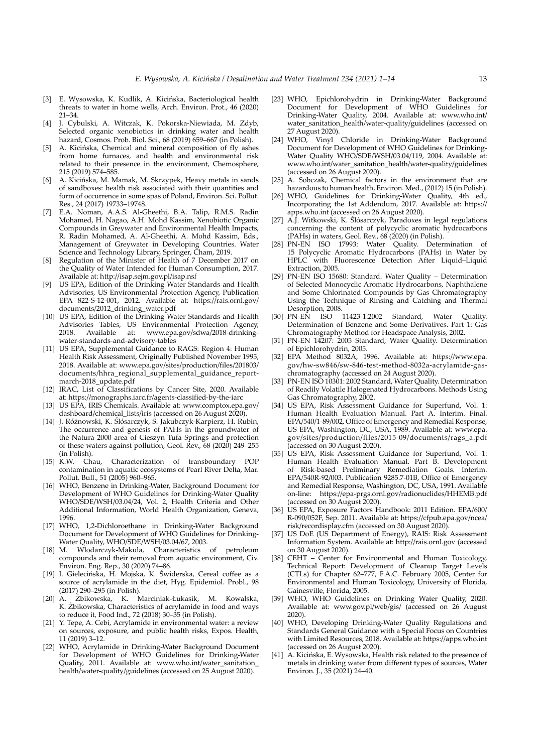- [3] E. Wysowska, K. Kudlik, A. Kicińska, Bacteriological health threats to water in home wells, Arch. Environ. Prot., 46 (2020) 21–34.
- [4] J. Cybulski, A. Witczak, K. Pokorska-Niewiada, M. Zdyb, Selected organic xenobiotics in drinking water and health hazard, Cosmos. Prob. Biol. Sci., 68 (2019) 659–667 (in Polish).
- [5] A. Kicińska, Chemical and mineral composition of fly ashes from home furnaces, and health and environmental risk related to their presence in the environment, Chemosphere, 215 (2019) 574–585.
- [6] A. Kicińska, M. Mamak, M. Skrzypek, Heavy metals in sands of sandboxes: health risk associated with their quantities and form of occurrence in some spas of Poland, Environ. Sci. Pollut. Res., 24 (2017) 19733–19748.
- [7] E.A. Noman, A.A.S. Al-Gheethi, B.A. Talip, R.M.S. Radin Mohamed, H. Nagao, A.H. Mohd Kassim, Xenobiotic Organic Compounds in Greywater and Environmental Health Impacts, R. Radin Mohamed, A. Al-Gheethi, A. Mohd Kassim, Eds., Management of Greywater in Developing Countries. Water Science and Technology Library, Springer, Cham, 2019.
- [8] Regulation of the Minister of Health of 7 December 2017 on the Quality of Water Intended for Human Consumption, 2017. Available at: http://isap.sejm.gov.pl/isap.nsf
- [9] US EPA, Edition of the Drinking Water Standards and Health Advisories, US Environmental Protection Agency, Publication EPA 822-S-12-001, 2012. Available at: https://rais.ornl.gov/ documents/2012\_drinking\_water.pdf
- [10] US EPA, Edition of the Drinking Water Standards and Health Advisories Tables, US Environmental Protection Agency, 2018. Available at: www.epa.gov/sdwa/2018-drinkingwater-standards-and-advisory-tables
- [11] US EPA, Supplemental Guidance to RAGS: Region 4: Human Health Risk Assessment, Originally Published November 1995, 2018. Available at: www.epa.gov/sites/production/files/201803/ documents/hhra\_regional\_supplemental\_guidance\_reportmarch-2018\_update.pdf
- [12] IRAC, List of Classifications by Cancer Site, 2020. Available at: https://monographs.iarc.fr/agents-classified-by-the-iarc
- [13] US EPA, IRIS Chemicals. Available at: www.comptox.epa.gov/ dashboard/chemical\_lists/iris (accessed on 26 August 2020).
- [14] J. Różnowski, K. Ślósarczyk, S. Jakubczyk-Karpierz, H. Rubin, The occurrence and genesis of PAHs in the groundwater of the Natura 2000 area of Cieszyn Tufa Springs and protection of these waters against pollution, Geol. Rev., 68 (2020) 249–255 (in Polish).<br>[15] K.W. Chau,
- Characterization of transboundary POP contamination in aquatic ecosystems of Pearl River Delta, Mar. Pollut. Bull., 51 (2005) 960–965.
- [16] WHO, Benzene in Drinking-Water, Background Document for Development of WHO Guidelines for Drinking-Water Quality WHO/SDE/WSH/03.04/24, Vol. 2, Health Criteria and Other Additional Information, World Health Organization, Geneva, 1996.
- [17] WHO, 1,2-Dichloroethane in Drinking-Water Background Document for Development of WHO Guidelines for Drinking-Water Quality, WHO/SDE/WSH/03.04/67, 2003.
- [18] M. Włodarczyk-Makuła, Characteristics of petroleum compounds and their removal from aquatic environment, Civ. Environ. Eng. Rep., 30 (2020) 74–86.
- [19] I. Gielecińska, H. Mojska, K. Świderska, Cereal coffee as a source of acrylamide in the diet, Hyg. Epidemiol. Probl., 98 (2017) 290–295 (in Polish).
- [20] A. Żbikowska, K. Marciniak-Łukasik, M. Kowalska, K. Żbikowska, Characteristics of acrylamide in food and ways to reduce it, Food Ind., 72 (2018) 30–35 (in Polish).
- [21] Y. Tepe, A. Cebi, Acrylamide in environmental water: a review on sources, exposure, and public health risks, Expos. Health, 11 (2019) 3–12.
- [22] WHO, Acrylamide in Drinking-Water Background Document for Development of WHO Guidelines for Drinking-Water Quality, 2011. Available at: www.who.int/water\_sanitation health/water-quality/guidelines (accessed on 25 August 2020).
- [23] WHO, Epichlorohydrin in Drinking-Water Background Document for Development of WHO Guidelines for Drinking-Water Quality, 2004. Available at: www.who.int/ water\_sanitation\_health/water-quality/guidelines (accessed on 27 August 2020).
- [24] WHO, Vinyl Chloride in Drinking-Water Background Document for Development of WHO Guidelines for Drinking-Water Quality WHO/SDE/WSH/03.04/119, 2004. Available at: www.who.int/water\_sanitation\_health/water-quality/guidelines (accessed on 26 August 2020).
- [25] A. Sobczak, Chemical factors in the environment that are hazardous to human health, Environ. Med., (2012) 15 (in Polish).
- [26] WHO, Guidelines for Drinking-Water Quality, 4th ed., Incorporating the 1st Addendum, 2017. Available at: https:// apps.who.int (accessed on 26 August 2020).
- [27] A.J. Witkowski, K. Ślósarczyk, Paradoxes in legal regulations concerning the content of polycyclic aromatic hydrocarbons (PAHs) in waters, Geol. Rev., 68 (2020) (in Polish).
- [28] PN-EN ISO 17993: Water Quality. Determination of 15 Polycyclic Aromatic Hydrocarbons (PAHs) in Water by HPLC with Fluorescence Detection After Liquid–Liquid Extraction, 2005.
- [29] PN-EN ISO 15680: Standard. Water Quality Determination of Selected Monocyclic Aromatic Hydrocarbons, Naphthalene and Some Chlorinated Compounds by Gas Chromatography Using the Technique of Rinsing and Catching and Thermal Desorption, 2008.<br>[30] PN-EN ISO 11423-1:2002
- [30] PN-EN ISO 11423-1:2002 Standard, Water Quality. Determination of Benzene and Some Derivatives. Part 1: Gas Chromatography Method for Headspace Analysis, 2002.
- [31] PN-EN 14207: 2005 Standard, Water Quality. Determination of Epichlorohydrin, 2005.
- [32] EPA Method 8032A, 1996. Available at: https://www.epa. gov/hw-sw846/sw-846-test-method-8032a-acrylamide-gaschromatography (accessed on 24 August 2020).
- [33] PN-EN ISO 10301: 2002 Standard, Water Quality. Determination of Readily Volatile Halogenated Hydrocarbons. Methods Using Gas Chromatography, 2002.
- [34] US EPA, Risk Assessment Guidance for Superfund, Vol. 1: Human Health Evaluation Manual. Part A. Interim. Final. EPA/540/1-89/002, Office of Emergency and Remedial Response, US EPA, Washington, DC, USA, 1989. Available at: www.epa. gov/sites/production/files/2015-09/documents/rags\_a.pdf (accessed on 30 August 2020).
- [35] US EPA, Risk Assessment Guidance for Superfund, Vol. 1: Human Health Evaluation Manual. Part B. Development of Risk-based Preliminary Remediation Goals. Interim. EPA/540R-92/003. Publication 9285.7-01B, Office of Emergency and Remedial Response, Washington, DC, USA, 1991. Available on-line: https://epa-prgs.ornl.gov/radionuclides/HHEMB.pdf (accessed on 30 August 2020).
- [36] US EPA, Exposure Factors Handbook: 2011 Edition. EPA/600/ R-090/052F, Sep. 2011. Available at: https://cfpub.epa.gov/ncea/ risk/recordisplay.cfm (accessed on 30 August 2020).
- [37] US DoE (US Department of Energy), RAIS: Risk Assessment Information System. Available at: http://rais.ornl.gov (accessed on 30 August 2020).
- [38] CEHT Center for Environmental and Human Toxicology, Technical Report: Development of Cleanup Target Levels (CTLs) for Chapter 62–777, F.A.C. February 2005, Center for Environmental and Human Toxicology, University of Florida, Gainesville, Florida, 2005.
- [39] WHO, WHO Guidelines on Drinking Water Quality, 2020. Available at: www.gov.pl/web/gis/ (accessed on 26 August 2020).
- [40] WHO, Developing Drinking-Water Quality Regulations and Standards General Guidance with a Special Focus on Countries with Limited Resources, 2018. Available at: https://apps.who.int (accessed on 26 August 2020).
- [41] A. Kicińska, E. Wysowska, Health risk related to the presence of metals in drinking water from different types of sources, Water Environ. J., 35 (2021) 24–40.